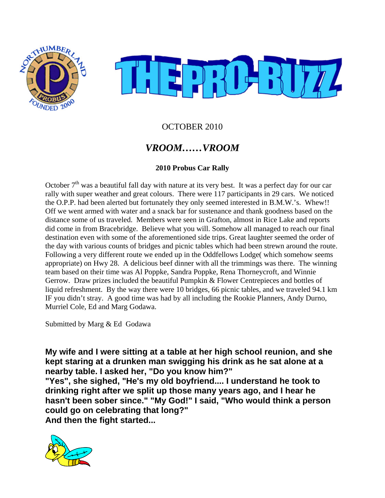



### OCTOBER 2010

# *VROOM……VROOM*

### **2010 Probus Car Rally**

October  $7<sup>th</sup>$  was a beautiful fall day with nature at its very best. It was a perfect day for our car rally with super weather and great colours. There were 117 participants in 29 cars. We noticed the O.P.P. had been alerted but fortunately they only seemed interested in B.M.W.'s. Whew!! Off we went armed with water and a snack bar for sustenance and thank goodness based on the distance some of us traveled. Members were seen in Grafton, almost in Rice Lake and reports did come in from Bracebridge. Believe what you will. Somehow all managed to reach our final destination even with some of the aforementioned side trips. Great laughter seemed the order of the day with various counts of bridges and picnic tables which had been strewn around the route. Following a very different route we ended up in the Oddfellows Lodge( which somehow seems appropriate) on Hwy 28. A delicious beef dinner with all the trimmings was there. The winning team based on their time was Al Poppke, Sandra Poppke, Rena Thorneycroft, and Winnie Gerrow. Draw prizes included the beautiful Pumpkin & Flower Centrepieces and bottles of liquid refreshment. By the way there were 10 bridges, 66 picnic tables, and we traveled 94.1 km IF you didn't stray. A good time was had by all including the Rookie Planners, Andy Durno, Murriel Cole, Ed and Marg Godawa.

Submitted by Marg & Ed Godawa

**My wife and I were sitting at a table at her high school reunion, and she kept staring at a drunken man swigging his drink as he sat alone at a nearby table. I asked her, "Do you know him?"**

**"Yes", she sighed, "He's my old boyfriend.... I understand he took to drinking right after we split up those many years ago, and I hear he hasn't been sober since." "My God!" I said, "Who would think a person could go on celebrating that long?" And then the fight started...**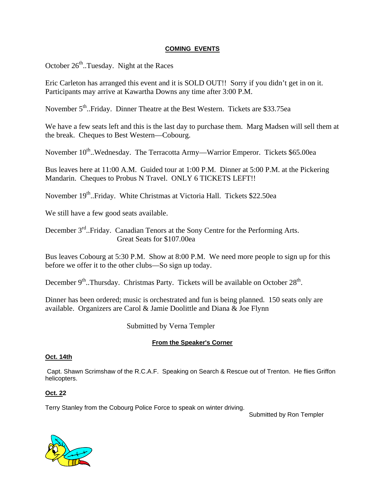#### **COMING EVENTS**

October  $26<sup>th</sup>$ ..Tuesday. Night at the Races

Eric Carleton has arranged this event and it is SOLD OUT!! Sorry if you didn't get in on it. Participants may arrive at Kawartha Downs any time after 3:00 P.M.

November 5<sup>th</sup>..Friday. Dinner Theatre at the Best Western. Tickets are \$33.75ea

We have a few seats left and this is the last day to purchase them. Marg Madsen will sell them at the break. Cheques to Best Western—Cobourg.

November 10<sup>th</sup>..Wednesday. The Terracotta Army—Warrior Emperor. Tickets \$65.00ea

Bus leaves here at 11:00 A.M. Guided tour at 1:00 P.M. Dinner at 5:00 P.M. at the Pickering Mandarin. Cheques to Probus N Travel. ONLY 6 TICKETS LEFT!!

November 19th..Friday. White Christmas at Victoria Hall. Tickets \$22.50ea

We still have a few good seats available.

December 3<sup>rd</sup>..Friday. Canadian Tenors at the Sony Centre for the Performing Arts. Great Seats for \$107.00ea

Bus leaves Cobourg at 5:30 P.M. Show at 8:00 P.M. We need more people to sign up for this before we offer it to the other clubs—So sign up today.

December  $9<sup>th</sup>$ ..Thursday. Christmas Party. Tickets will be available on October  $28<sup>th</sup>$ .

Dinner has been ordered; music is orchestrated and fun is being planned. 150 seats only are available. Organizers are Carol & Jamie Doolittle and Diana & Joe Flynn

Submitted by Verna Templer

#### **From the Speaker's Corner**

#### **Oct. 14th**

 Capt. Shawn Scrimshaw of the R.C.A.F. Speaking on Search & Rescue out of Trenton. He flies Griffon helicopters.

#### **Oct. 22**

Terry Stanley from the Cobourg Police Force to speak on winter driving.

Submitted by Ron Templer

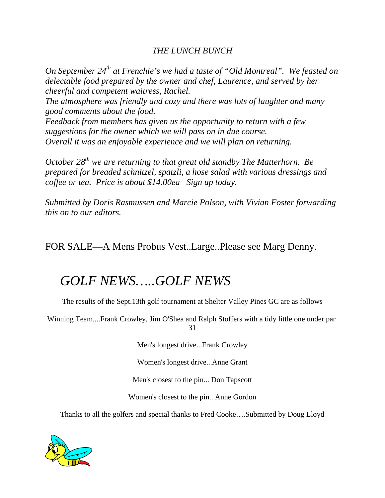### *THE LUNCH BUNCH*

*On September 24th at Frenchie's we had a taste of "Old Montreal". We feasted on delectable food prepared by the owner and chef, Laurence, and served by her cheerful and competent waitress, Rachel. The atmosphere was friendly and cozy and there was lots of laughter and many good comments about the food. Feedback from members has given us the opportunity to return with a few suggestions for the owner which we will pass on in due course. Overall it was an enjoyable experience and we will plan on returning.* 

*October* 28<sup>th</sup> we are returning to that great old standby The Matterhorn. Be *prepared for breaded schnitzel, spatzli, a hose salad with various dressings and coffee or tea. Price is about \$14.00ea Sign up today.* 

*Submitted by Doris Rasmussen and Marcie Polson, with Vivian Foster forwarding this on to our editors.* 

FOR SALE—A Mens Probus Vest..Large..Please see Marg Denny.

# *GOLF NEWS…..GOLF NEWS*

The results of the Sept.13th golf tournament at Shelter Valley Pines GC are as follows

Winning Team....Frank Crowley, Jim O'Shea and Ralph Stoffers with a tidy little one under par 31

Men's longest drive...Frank Crowley

Women's longest drive...Anne Grant

Men's closest to the pin... Don Tapscott

Women's closest to the pin...Anne Gordon

Thanks to all the golfers and special thanks to Fred Cooke….Submitted by Doug Lloyd